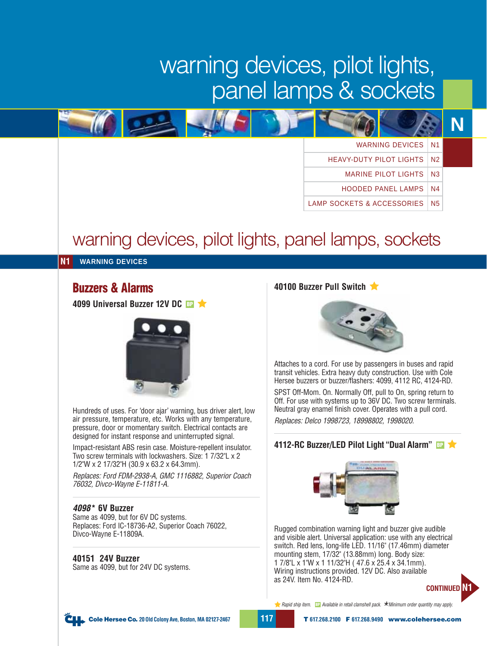WARNING DEVICES | N1 HEAVY-DUTY PILOT LIGHTS N2 MARINE PILOT LIGHTS N3 HOODED PANEL LAMPS N4 LAMP SOCKETS & ACCESSORIES N5

**N**

# warning devices, pilot lights, panel lamps, sockets

#### **N1 WARNING DEVICES**

## **Buzzers & Alarms**

**4099 Universal Buzzer 12V DC BP**



Hundreds of uses. For 'door ajar' warning, bus driver alert, low air pressure, temperature, etc. Works with any temperature, pressure, door or momentary switch. Electrical contacts are designed for instant response and uninterrupted signal.

Impact-resistant ABS resin case. Moisture-repellent insulator. Two screw terminals with lockwashers. Size: 1 7/32"L x 2 1/2"W x 2 17/32"H (30.9 x 63.2 x 64.3mm).

Replaces: Ford FDM-2938-A, GMC 1116882, Superior Coach 76032, Divco-Wayne E-11811-A.

#### **4098\* 6V Buzzer**

Same as 4099, but for 6V DC systems. Replaces: Ford IC-18736-A2, Superior Coach 76022, Divco-Wayne E-11809A.

#### **40151 24V Buzzer**

Same as 4099, but for 24V DC systems.

#### **40100 Buzzer Pull Switch**



Attaches to a cord. For use by passengers in buses and rapid transit vehicles. Extra heavy duty construction. Use with Cole Hersee buzzers or buzzer/flashers: 4099, 4112 RC, 4124-RD.

SPST Off-Mom. On. Normally Off, pull to On, spring return to Off. For use with systems up to 36V DC. Two screw terminals. Neutral gray enamel finish cover. Operates with a pull cord. Replaces: Delco 1998723, 18998802, 1998020.

#### **4112-RC Buzzer/LED Pilot Light "Dual Alarm" BP**



**CONTINUED N1** Rugged combination warning light and buzzer give audible and visible alert. Universal application: use with any electrical switch. Red lens, long-life LED. 11/16" (17.46mm) diameter mounting stem, 17/32" (13.88mm) long. Body size: 1 7/8"L x 1"W x 1 11/32"H ( 47.6 x 25.4 x 34.1mm). Wiring instructions provided. 12V DC. Also available as 24V. Item No. 4124-RD.

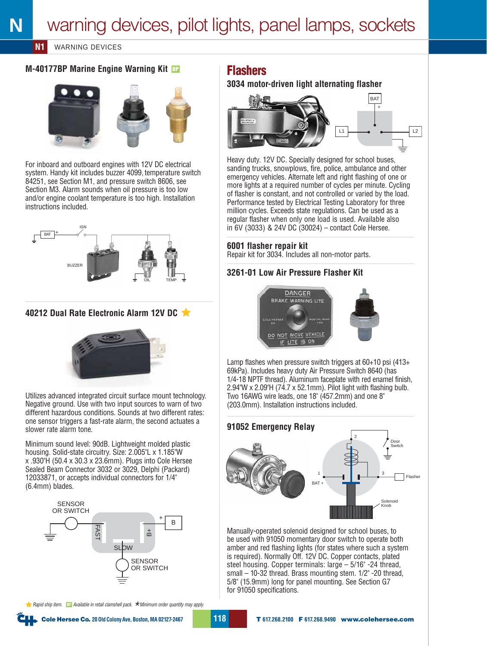#### **N1** WARNING DEVICES

#### **M-40177BP Marine Engine Warning Kit BP**



For inboard and outboard engines with 12V DC electrical system. Handy kit includes buzzer 4099, temperature switch 84251, see Section M1, and pressure switch 8606, see Section M3. Alarm sounds when oil pressure is too low and/or engine coolant temperature is too high. Installation instructions included.



### **40212 Dual Rate Electronic Alarm 12V DC**



Utilizes advanced integrated circuit surface mount technology. Negative ground. Use with two input sources to warn of two different hazardous conditions. Sounds at two different rates: one sensor triggers a fast-rate alarm, the second actuates a slower rate alarm tone.

Minimum sound level: 90dB. Lightweight molded plastic housing. Solid-state circuitry. Size: 2.005"L x 1.185"W x .930"H (50.4 x 30.3 x 23.6mm). Plugs into Cole Hersee Sealed Beam Connector 3032 or 3029, Delphi (Packard) 12033871, or accepts individual connectors for 1/4" (6.4mm) blades.



## **Flashers**

**3034 motor-driven light alternating flasher**



Heavy duty. 12V DC. Specially designed for school buses, sanding trucks, snowplows, fire, police, ambulance and other emergency vehicles. Alternate left and right flashing of one or more lights at a required number of cycles per minute. Cycling of flasher is constant, and not controlled or varied by the load. Performance tested by Electrical Testing Laboratory for three million cycles. Exceeds state regulations. Can be used as a regular flasher when only one load is used. Available also in 6V (3033) & 24V DC (30024) – contact Cole Hersee.

#### **6001 flasher repair kit**

Repair kit for 3034. Includes all non-motor parts.

#### **3261-01 Low Air Pressure Flasher Kit**





Lamp flashes when pressure switch triggers at 60+10 psi (413+ 69kPa). Includes heavy duty Air Pressure Switch 8640 (has 1/4-18 NPTF thread). Aluminum faceplate with red enamel finish, 2.94"W  $\times$  2.09"H (74.7  $\times$  52.1mm). Pilot light with flashing bulb. Two 16AWG wire leads, one 18" (457.2mm) and one 8" (203.0mm). Installation instructions included.



Manually-operated solenoid designed for school buses, to be used with 91050 momentary door switch to operate both amber and red flashing lights (for states where such a system is required). Normally Off. 12V DC. Copper contacts, plated steel housing. Copper terminals: large – 5/16" -24 thread, small – 10-32 thread. Brass mounting stem. 1/2" -20 thread, 5/8" (15.9mm) long for panel mounting. See Section G7 for 91050 specifications.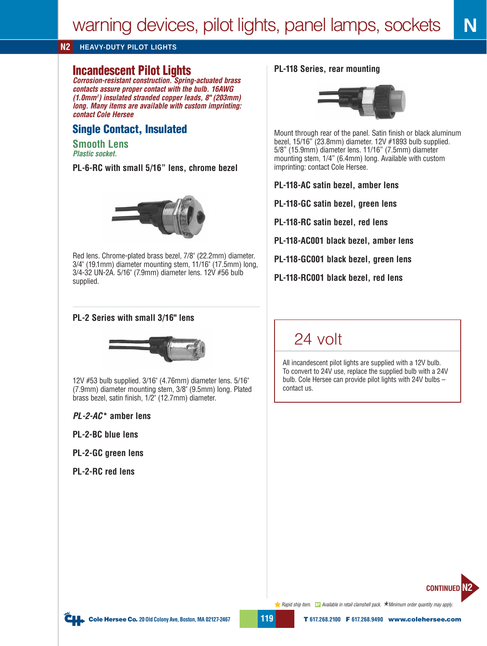#### **N2 HEAVY-DUTY PILOT LIGHTS**

## **Incandescent Pilot Lights**

**Corrosion-resistant construction. Spring-actuated brass contacts assure proper contact with the bulb. 16AWG (1.0mm<sup>2</sup> ) insulated stranded copper leads, 8" (203mm) long. Many items are available with custom imprinting: contact Cole Hersee**

## **Single Contact, Insulated**

#### **Smooth Lens Plastic socket.**

**PL-6-RC with small 5/16" lens, chrome bezel**



Red lens. Chrome-plated brass bezel, 7/8" (22.2mm) diameter. 3/4" (19.1mm) diameter mounting stem, 11/16" (17.5mm) long, 3/4-32 UN-2A. 5/16" (7.9mm) diameter lens. 12V #56 bulb supplied.

#### **PL-2 Series with small 3/16" lens**



12V #53 bulb supplied. 3/16" (4.76mm) diameter lens. 5/16" (7.9mm) diameter mounting stem, 3/8" (9.5mm) long. Plated brass bezel, satin finish, 1/2" (12.7mm) diameter.

**PL-2-AC\* amber lens**

**PL-2-BC blue lens**

**PL-2-GC green lens**

**PL-2-RC red lens**

#### **PL-118 Series, rear mounting**



**N**

Mount through rear of the panel. Satin finish or black aluminum bezel, 15/16" (23.8mm) diameter. 12V #1893 bulb supplied. 5/8" (15.9mm) diameter lens. 11/16" (7.5mm) diameter mounting stem, 1/4" (6.4mm) long. Available with custom imprinting: contact Cole Hersee.

**PL-118-AC satin bezel, amber lens**

**PL-118-GC satin bezel, green lens**

**PL-118-RC satin bezel, red lens**

**PL-118-AC001 black bezel, amber lens**

**PL-118-GC001 black bezel, green lens**

**PL-118-RC001 black bezel, red lens**

# 24 volt

All incandescent pilot lights are supplied with a 12V bulb. To convert to 24V use, replace the supplied bulb with a 24V bulb. Cole Hersee can provide pilot lights with 24V bulbs – contact us.

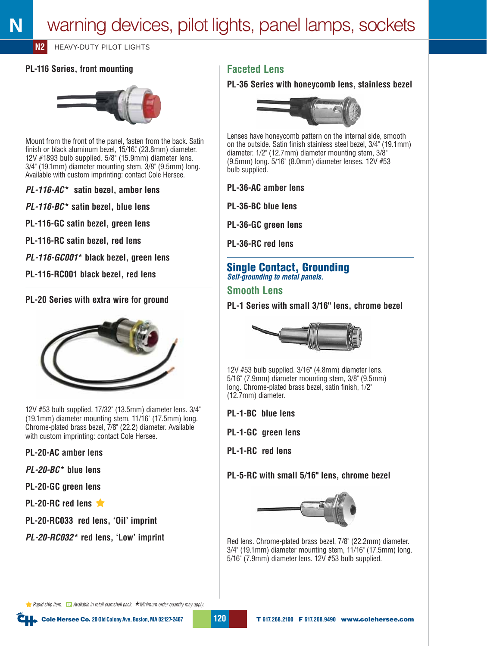#### **N2** HEAVY-DUTY PILOT LIGHTS

#### **PL-116 Series, front mounting**



Mount from the front of the panel, fasten from the back. Satin finish or black aluminum bezel, 15/16." (23.8mm) diameter. 12V #1893 bulb supplied. 5/8" (15.9mm) diameter lens. 3/4" (19.1mm) diameter mounting stem, 3/8" (9.5mm) long. Available with custom imprinting: contact Cole Hersee.

**PL-116-AC\* satin bezel, amber lens**

**PL-116-BC\* satin bezel, blue lens**

**PL-116-GC satin bezel, green lens**

**PL-116-RC satin bezel, red lens**

**PL-116-GC001\* black bezel, green lens**

**PL-116-RC001 black bezel, red lens**

**PL-20 Series with extra wire for ground**



12V #53 bulb supplied. 17/32" (13.5mm) diameter lens. 3/4" (19.1mm) diameter mounting stem, 11/16" (17.5mm) long. Chrome-plated brass bezel, 7/8" (22.2) diameter. Available with custom imprinting: contact Cole Hersee.

**PL-20-AC amber lens**

**PL-20-BC\* blue lens**

**PL-20-GC green lens**

**PL-20-RC red lens** 

**PL-20-RC033 red lens, 'Oil' imprint**

**PL-20-RC032\* red lens, 'Low' imprint**

### **Faceted Lens**

**PL-36 Series with honeycomb lens, stainless bezel**



Lenses have honeycomb pattern on the internal side, smooth on the outside. Satin finish stainless steel bezel, 3/4" (19.1mm) diameter. 1/2" (12.7mm) diameter mounting stem, 3/8" (9.5mm) long. 5/16" (8.0mm) diameter lenses. 12V #53 bulb supplied.

**PL-36-AC amber lens**

**PL-36-BC blue lens**

**PL-36-GC green lens**

**PL-36-RC red lens**

#### **Single Contact, Grounding Self-grounding to metal panels.**

#### **Smooth Lens**

**PL-1 Series with small 3/16" lens, chrome bezel**



12V #53 bulb supplied. 3/16" (4.8mm) diameter lens. 5/16" (7.9mm) diameter mounting stem, 3/8" (9.5mm) long. Chrome-plated brass bezel, satin finish, 1/2" (12.7mm) diameter.

**PL-1-BC blue lens**

**PL-1-GC green lens**

**PL-1-RC red lens**

#### **PL-5-RC with small 5/16" lens, chrome bezel**



Red lens. Chrome-plated brass bezel, 7/8" (22.2mm) diameter. 3/4" (19.1mm) diameter mounting stem, 11/16" (17.5mm) long. 5/16" (7.9mm) diameter lens. 12V #53 bulb supplied.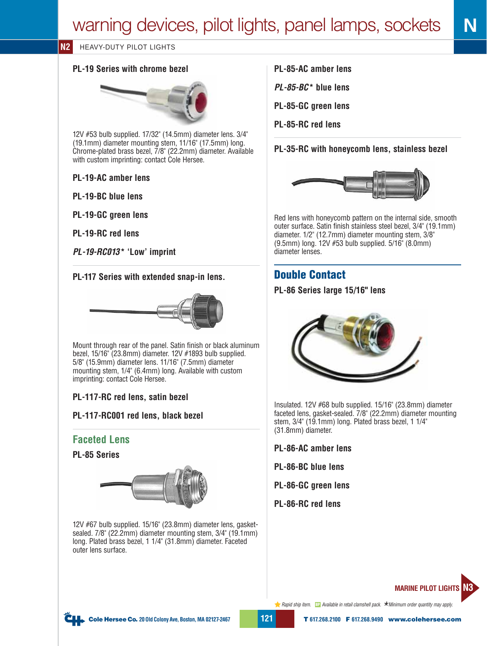### **PL-19 Series with chrome bezel**



12V #53 bulb supplied. 17/32" (14.5mm) diameter lens. 3/4" (19.1mm) diameter mounting stem, 11/16" (17.5mm) long. Chrome-plated brass bezel, 7/8" (22.2mm) diameter. Available with custom imprinting: contact Cole Hersee.

**PL-19-AC amber lens**

**PL-19-BC blue lens** 

**PL-19-GC green lens**

**PL-19-RC red lens**

**PL-19-RC013\* 'Low' imprint**

**PL-117 Series with extended snap-in lens.**



Mount through rear of the panel. Satin finish or black aluminum bezel, 15/16" (23.8mm) diameter. 12V #1893 bulb supplied. 5/8" (15.9mm) diameter lens. 11/16" (7.5mm) diameter mounting stem, 1/4" (6.4mm) long. Available with custom imprinting: contact Cole Hersee.

### **PL-117-RC red lens, satin bezel**

**PL-117-RC001 red lens, black bezel**

### **Faceted Lens**

#### **PL-85 Series**



12V #67 bulb supplied. 15/16" (23.8mm) diameter lens, gasketsealed. 7/8" (22.2mm) diameter mounting stem, 3/4" (19.1mm) long. Plated brass bezel, 1 1/4" (31.8mm) diameter. Faceted outer lens surface.

**PL-85-AC amber lens**

**PL-85-BC\* blue lens**

**PL-85-GC green lens**

**PL-85-RC red lens**

**PL-35-RC with honeycomb lens, stainless bezel**



Red lens with honeycomb pattern on the internal side, smooth outer surface. Satin finish stainless steel bezel, 3/4" (19.1mm) diameter. 1/2" (12.7mm) diameter mounting stem, 3/8" (9.5mm) long. 12V #53 bulb supplied. 5/16" (8.0mm) diameter lenses.

## **Double Contact**

### **PL-86 Series large 15/16" lens**



Insulated. 12V #68 bulb supplied. 15/16" (23.8mm) diameter faceted lens, gasket-sealed. 7/8" (22.2mm) diameter mounting stem, 3/4" (19.1mm) long. Plated brass bezel, 1 1/4" (31.8mm) diameter.

**PL-86-AC amber lens**

- **PL-86-BC blue lens**
- **PL-86-GC green lens**
- **PL-86-RC red lens**



Rapid ship item. **BP** Available in retail clamshell pack. **\*** Minimum order quantity may apply.

**N**

**121**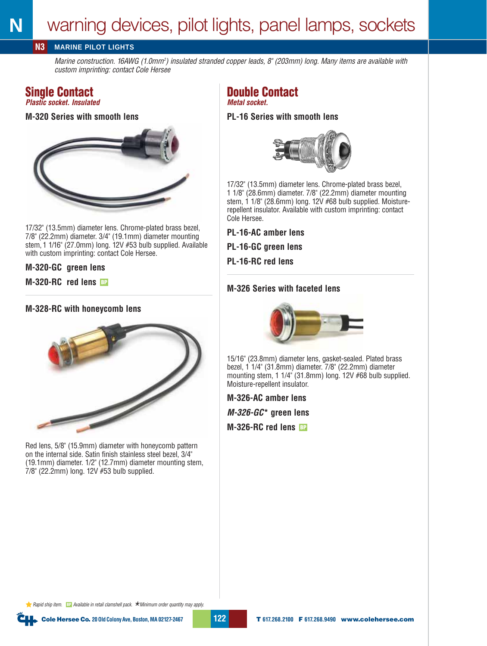#### **N3 MARINE PILOT LIGHTS**

Marine construction. 16AWG (1.0mm²) insulated stranded copper leads, 8" (203mm) long. Many items are available with custom imprinting: contact Cole Hersee

## **Single Contact**

**Plastic socket. Insulated**

**M-320 Series with smooth lens**



17/32" (13.5mm) diameter lens. Chrome-plated brass bezel, 7/8" (22.2mm) diameter. 3/4" (19.1mm) diameter mounting stem, 1 1/16" (27.0mm) long. 12V #53 bulb supplied. Available with custom imprinting: contact Cole Hersee.

#### **M-320-GC green lens**

**M-320-RC red lens BP**

#### **M-328-RC with honeycomb lens**



Red lens, 5/8" (15.9mm) diameter with honeycomb pattern on the internal side. Satin finish stainless steel bezel, 3/4" (19.1mm) diameter. 1/2" (12.7mm) diameter mounting stem, 7/8" (22.2mm) long. 12V #53 bulb supplied.

#### **Double Contact Metal socket.**

**PL-16 Series with smooth lens**



17/32" (13.5mm) diameter lens. Chrome-plated brass bezel, 1 1/8" (28.6mm) diameter. 7/8" (22.2mm) diameter mounting stem, 1 1/8" (28.6mm) long. 12V #68 bulb supplied. Moisturerepellent insulator. Available with custom imprinting: contact Cole Hersee.

**PL-16-AC amber lens**

**PL-16-GC green lens**

**PL-16-RC red lens**

#### **M-326 Series with faceted lens**



15/16" (23.8mm) diameter lens, gasket-sealed. Plated brass bezel, 1 1/4" (31.8mm) diameter. 7/8" (22.2mm) diameter mounting stem, 1 1/4" (31.8mm) long. 12V #68 bulb supplied. Moisture-repellent insulator.

**M-326-AC amber lens**

**M-326-GC\* green lens**

**M-326-RC red lens BP**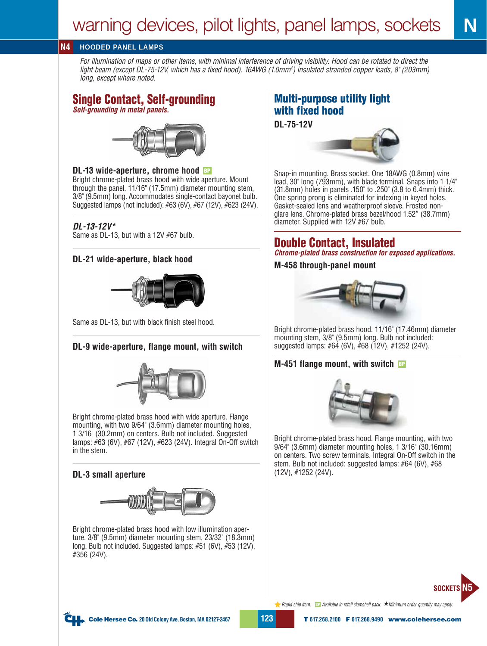#### **N4 HOODED PANEL LAMPS**

For illumination of maps or other items, with minimal interference of driving visibility. Hood can be rotated to direct the light beam (except DL-75-12V, which has a fixed hood). 16AWG (1.0mm²) insulated stranded copper leads, 8" (203mm) long, except where noted.

# **Single Contact, Self-grounding**

**Self-grounding in metal panels.**



### **DL-13 wide-aperture, chrome hood BP**

Bright chrome-plated brass hood with wide aperture. Mount through the panel. 11/16" (17.5mm) diameter mounting stem, 3/8" (9.5mm) long. Accommodates single-contact bayonet bulb. Suggested lamps (not included): #63 (6V), #67 (12V), #623 (24V).

#### **DL-13-12V\***

Same as DL-13, but with a 12V #67 bulb.

#### **DL-21 wide-aperture, black hood**



Same as DL-13, but with black finish steel hood.

## **DL-9 wide-aperture, flange mount, with switch**



Bright chrome-plated brass hood with wide aperture. Flange mounting, with two 9/64" (3.6mm) diameter mounting holes, 1 3/16" (30.2mm) on centers. Bulb not included. Suggested lamps: #63 (6V), #67 (12V), #623 (24V). Integral On-Off switch in the stem.

#### **DL-3 small aperture**



Bright chrome-plated brass hood with low illumination aperture. 3/8" (9.5mm) diameter mounting stem, 23/32" (18.3mm) long. Bulb not included. Suggested lamps: #51 (6V), #53 (12V), #356 (24V).

## **Multi-purpose utility light with fixed hood**

**DL-75-12V**



Snap-in mounting. Brass socket. One 18AWG (0.8mm) wire lead, 30" long (793mm), with blade terminal. Snaps into 1 1/4" (31.8mm) holes in panels .150" to .250" (3.8 to 6.4mm) thick. One spring prong is eliminated for indexing in keyed holes. Gasket-sealed lens and weatherproof sleeve. Frosted nonglare lens. Chrome-plated brass bezel/hood 1.52" (38.7mm) diameter. Supplied with 12V #67 bulb.

## **Double Contact, Insulated**

**Chrome-plated brass construction for exposed applications. M-458 through-panel mount**



Bright chrome-plated brass hood. 11/16" (17.46mm) diameter mounting stem, 3/8" (9.5mm) long. Bulb not included: suggested lamps: #64 (6V), #68 (12V), #1252 (24V).

#### **M-451 flange mount, with switch BP**



Bright chrome-plated brass hood. Flange mounting, with two 9/64" (3.6mm) diameter mounting holes, 1 3/16" (30.16mm) on centers. Two screw terminals. Integral On-Off switch in the stem. Bulb not included: suggested lamps: #64 (6V), #68 (12V), #1252 (24V).



**N**



**Cole Hersee Co. 20 Old Colony Ave, Boston, MA 02127-2467**

**123**

**T 617.268.2100 F 617.268.9490 www.colehersee.com**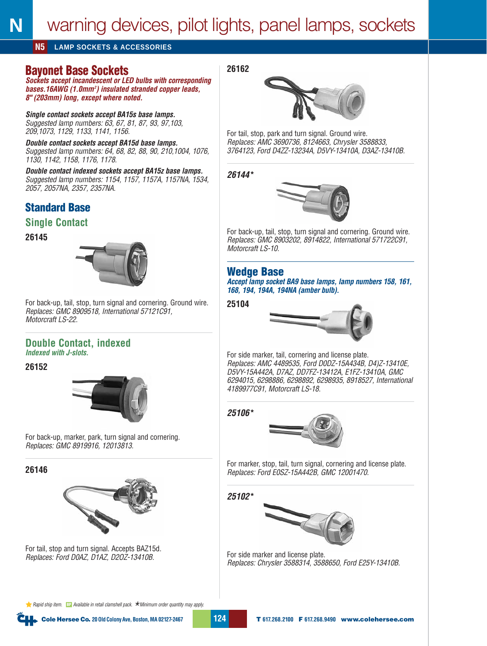#### **N5 LAMP SOCKETS & ACCESSORIES**

## **Bayonet Base Sockets**

**Sockets accept incandescent or LED bulbs with corresponding bases.16AWG (1.0mm<sup>2</sup> ) insulated stranded copper leads, 8" (203mm) long, except where noted.**

## **Single contact sockets accept BA15s base lamps.**

Suggested lamp numbers: 63, 67, 81, 87, 93, 97,103, 209,1073, 1129, 1133, 1141, 1156.

**Double contact sockets accept BA15d base lamps.**  Suggested lamp numbers: 64, 68, 82, 88, 90, 210,1004, 1076, 1130, 1142, 1158, 1176, 1178.

**Double contact indexed sockets accept BA15z base lamps.** Suggested lamp numbers: 1154, 1157, 1157A, 1157NA, 1534, 2057, 2057NA, 2357, 2357NA.

## **Standard Base**

**Single Contact**

**26145**

**N**



**25104** For back-up, tail, stop, turn signal and cornering. Ground wire. Replaces: GMC 8909518, International 57121C91, Motorcraft LS-22.

# **Double Contact, indexed**

**Indexed with J-slots.**

**26152**



For back-up, marker, park, turn signal and cornering. Replaces: GMC 8919916, 12013813.

**26146**



For tail, stop and turn signal. Accepts BAZ15d. Replaces: Ford D0AZ, D1AZ, D2OZ-13410B.

**26162** 



For tail, stop, park and turn signal. Ground wire. Replaces: AMC 3690736, 8124663, Chrysler 3588833, 3764123, Ford D4ZZ-13234A, D5VY-13410A, D3AZ-13410B.

**26144\***



For back-up, tail, stop, turn signal and cornering. Ground wire. Replaces: GMC 8903202, 8914822, International 571722C91, Motorcraft LS-10.

### **Wedge Base**

**Accept lamp socket BA9 base lamps, lamp numbers 158, 161, 168, 194, 194A, 194NA (amber bulb).**



For side marker, tail, cornering and license plate. Replaces: AMC 4489535, Ford D0DZ-15A434B, D4)Z-13410E, D5VY-15A442A, D7AZ, DD7FZ-13412A, E1FZ-13410A, GMC 6294015, 6298886, 6298892, 6298935, 8918527, International 4189977C91, Motorcraft LS-18.

**25106\***



For marker, stop, tail, turn signal, cornering and license plate. Replaces: Ford E0SZ-15A442B, GMC 12001470.

**25102\***



For side marker and license plate. Replaces: Chrysler 3588314, 3588650, Ford E25Y-13410B.

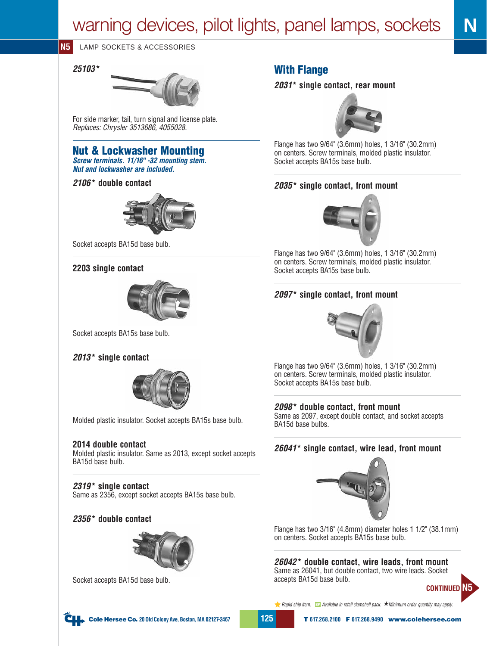**25103\***



For side marker, tail, turn signal and license plate. Replaces: Chrysler 3513686, 4055028.

#### **Nut & Lockwasher Mounting Screw terminals. 11/16" -32 mounting stem. Nut and lockwasher are included.**

**2106\* double contact**



Socket accepts BA15d base bulb.

#### **2203 single contact**



Socket accepts BA15s base bulb.

#### **2013\* single contact**



Molded plastic insulator. Socket accepts BA15s base bulb.

#### **2014 double contact**

Molded plastic insulator. Same as 2013, except socket accepts BA15d base bulb.

**2319\* single contact** Same as 2356, except socket accepts BA15s base bulb.

#### **2356\* double contact**



Socket accepts BA15d base bulb.

## **With Flange**

**2031\* single contact, rear mount**



**N**

Flange has two 9/64" (3.6mm) holes, 1 3/16" (30.2mm) on centers. Screw terminals, molded plastic insulator. Socket accepts BA15s base bulb.

### **2035\* single contact, front mount**



Flange has two 9/64" (3.6mm) holes, 1 3/16" (30.2mm) on centers. Screw terminals, molded plastic insulator. Socket accepts BA15s base bulb.

#### **2097\* single contact, front mount**



Flange has two 9/64" (3.6mm) holes, 1 3/16" (30.2mm) on centers. Screw terminals, molded plastic insulator. Socket accepts BA15s base bulb.

#### **2098\* double contact, front mount**

Same as 2097, except double contact, and socket accepts BA15d base bulbs.

#### **26041\* single contact, wire lead, front mount**



Flange has two 3/16" (4.8mm) diameter holes 1 1/2" (38.1mm) on centers. Socket accepts BA15s base bulb.

**CONTINUED N5 26042\* double contact, wire leads, front mount** Same as 26041, but double contact, two wire leads. Socket accepts BA15d base bulb.

```
125
```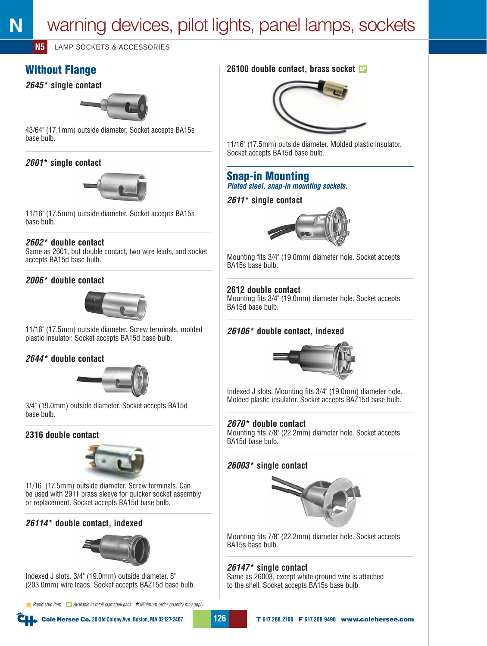## **Without Flange**

#### **2645\* single contact**



43/64" (17.1mm) outside diameter. Socket accepts BA15s base bulb.

#### **2601\* single contact**



11/16" (17.5mm) outside diameter. Socket accepts BA15s base bulb.

#### **2602\* double contact**

Same as 2601, but double contact, two wire leads, and socket accepts BA15d base bulb.

#### **2006\* double contact**



11/16" (17.5mm) outside diameter. Screw terminals, molded plastic insulator. Socket accepts BA15d base bulb.

#### **2644\* double contact**



3/4" (19.0mm) outside diameter. Socket accepts BA15d base bulb.

#### **2316 double contact**



11/16" (17.5mm) outside diameter. Screw terminals. Can be used with 2911 brass sleeve for quicker socket assembly or replacement. Socket accepts BA15d base bulb.

#### **26114\* double contact, indexed**



Indexed J slots. 3/4" (19.0mm) outside diameter. 8" (203.0mm) wire leads. Socket accepts BAZ15d base bulb.

Rapid ship item. **BP** Available in retail clamshell pack.  $\star$  Minimum order quantity may apply.



11/16" (17.5mm) outside diameter. Molded plastic insulator. Socket accepts BA15d base bulb.

#### **Snap-in Mounting Plated steel, snap-in mounting sockets.**

**2611\* single contact**



Mounting fits 3/4" (19.0mm) diameter hole. Socket accepts BA15s base bulb.

#### **2612 double contact**

Mounting fits 3/4" (19.0mm) diameter hole. Socket accepts BA15d base bulb.

#### **26106\* double contact, indexed**



Indexed J slots. Mounting fits 3/4" (19.0mm) diameter hole. Molded plastic insulator. Socket accepts BAZ15d base bulb.

#### **2670\* double contact**

Mounting fits 7/8" (22.2mm) diameter hole. Socket accepts BA15d base bulb.

#### **26003\* single contact**



Mounting fits 7/8" (22.2mm) diameter hole. Socket accepts BA15s base bulb.

#### **26147\* single contact**

Same as 26003, except white ground wire is attached to the shell. Socket accepts BA15s base bulb.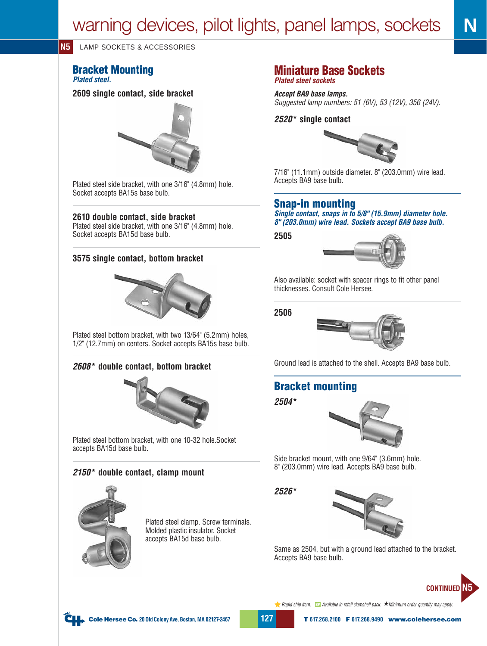## **Bracket Mounting**

**Plated steel.**

**2609 single contact, side bracket**



Plated steel side bracket, with one 3/16" (4.8mm) hole. Socket accepts BA15s base bulb.

**2610 double contact, side bracket** Plated steel side bracket, with one 3/16" (4.8mm) hole. Socket accepts BA15d base bulb.

#### **3575 single contact, bottom bracket**



Plated steel bottom bracket, with two 13/64" (5.2mm) holes, 1/2" (12.7mm) on centers. Socket accepts BA15s base bulb.

#### **2608\* double contact, bottom bracket**



Plated steel bottom bracket, with one 10-32 hole.Socket accepts BA15d base bulb.

#### **2150\* double contact, clamp mount**



Plated steel clamp. Screw terminals. Molded plastic insulator. Socket accepts BA15d base bulb.

## **Miniature Base Sockets**

**Plated steel sockets**

**Accept BA9 base lamps.**  Suggested lamp numbers: 51 (6V), 53 (12V), 356 (24V).

#### **2520\* single contact**



7/16" (11.1mm) outside diameter. 8" (203.0mm) wire lead. Accepts BA9 base bulb.

#### **Snap-in mounting**

**Single contact, snaps in to 5/8" (15.9mm) diameter hole. 8" (203.0mm) wire lead. Sockets accept BA9 base bulb.**

**2505**



Also available: socket with spacer rings to fit other panel thicknesses. Consult Cole Hersee.

**2506**



Ground lead is attached to the shell. Accepts BA9 base bulb.

## **Bracket mounting**

**2504\***



Side bracket mount, with one 9/64" (3.6mm) hole. 8" (203.0mm) wire lead. Accepts BA9 base bulb.

**2526\***



Same as 2504, but with a ground lead attached to the bracket. Accepts BA9 base bulb.



Rapid ship item. **BP** Available in retail clamshell pack. **\*** Minimum order quantity may apply.

**127**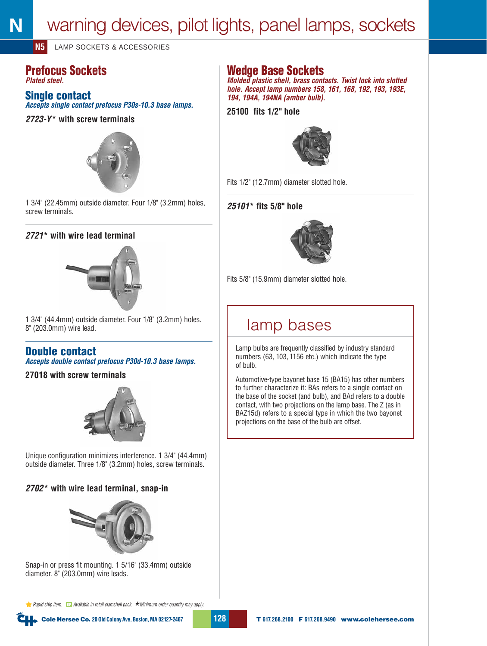## **Prefocus Sockets**

**Plated steel.**

#### **Single contact**

**Accepts single contact prefocus P30s-10.3 base lamps.**

#### **2723-Y\* with screw terminals**



1 3/4" (22.45mm) outside diameter. Four 1/8" (3.2mm) holes, screw terminals.

#### **2721\* with wire lead terminal**



1 3/4" (44.4mm) outside diameter. Four 1/8" (3.2mm) holes. 8" (203.0mm) wire lead.

## **Double contact**

**Accepts double contact prefocus P30d-10.3 base lamps.**

**27018 with screw terminals**



Unique configuration minimizes interference. 1 3/4" (44.4mm) outside diameter. Three 1/8" (3.2mm) holes, screw terminals.

#### **2702\* with wire lead terminal, snap-in**



Snap-in or press fit mounting. 1 5/16" (33.4mm) outside diameter. 8" (203.0mm) wire leads.

Rapid ship item. **BP** Available in retail clamshell pack.  $\star$  Minimum order quantity may apply.

## **Wedge Base Sockets**

**Molded plastic shell, brass contacts. Twist lock into slotted hole. Accept lamp numbers 158, 161, 168, 192, 193, 193E, 194, 194A, 194NA (amber bulb).**

**25100 fits 1/2" hole**



Fits 1/2" (12.7mm) diameter slotted hole.

#### **25101\* fits 5/8" hole**



Fits 5/8" (15.9mm) diameter slotted hole.

# lamp bases

Lamp bulbs are frequently classified by industry standard numbers (63, 103, 1156 etc.) which indicate the type of bulb.

Automotive-type bayonet base 15 (BA15) has other numbers to further characterize it: BAs refers to a single contact on the base of the socket (and bulb), and BAd refers to a double contact, with two projections on the lamp base. The Z (as in BAZ15d) refers to a special type in which the two bayonet projections on the base of the bulb are offset.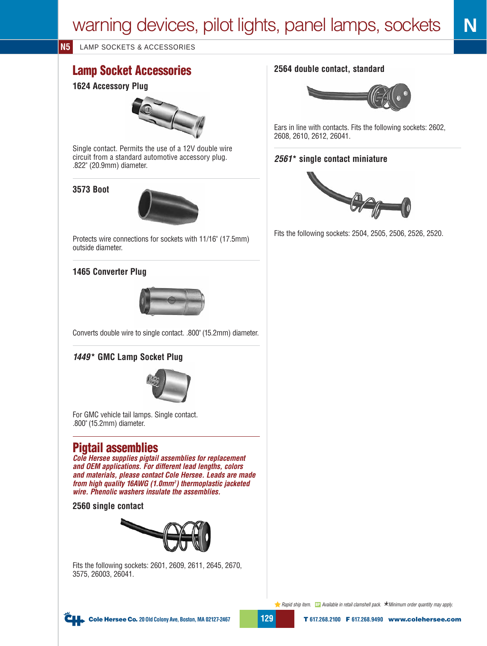## **Lamp Socket Accessories**

#### **1624 Accessory Plug**



Single contact. Permits the use of a 12V double wire circuit from a standard automotive accessory plug. .822" (20.9mm) diameter.

#### **3573 Boot**



Protects wire connections for sockets with 11/16" (17.5mm) outside diameter.

#### **1465 Converter Plug**



Converts double wire to single contact. .800" (15.2mm) diameter.

#### **1449\* GMC Lamp Socket Plug**



For GMC vehicle tail lamps. Single contact. .800" (15.2mm) diameter.

## **Pigtail assemblies**

**Cole Hersee supplies pigtail assemblies for replacement and OEM applications. For different lead lengths, colors and materials, please contact Cole Hersee. Leads are made from high quality 16AWG (1.0mm<sup>2</sup> ) thermoplastic jacketed wire. Phenolic washers insulate the assemblies.**

#### **2560 single contact**



Fits the following sockets: 2601, 2609, 2611, 2645, 2670, 3575, 26003, 26041.

#### **2564 double contact, standard**



Ears in line with contacts. Fits the following sockets: 2602, 2608, 2610, 2612, 26041.

#### **2561\* single contact miniature**



Fits the following sockets: 2504, 2505, 2506, 2526, 2520.



**129**